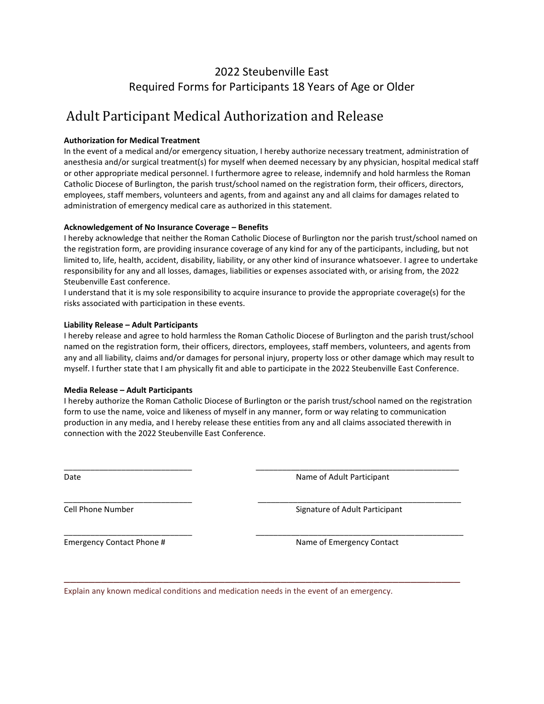## 2022 Steubenville East Required Forms for Participants 18 Years of Age or Older

# Adult Participant Medical Authorization and Release

### **Authorization for Medical Treatment**

In the event of a medical and/or emergency situation, I hereby authorize necessary treatment, administration of anesthesia and/or surgical treatment(s) for myself when deemed necessary by any physician, hospital medical staff or other appropriate medical personnel. I furthermore agree to release, indemnify and hold harmless the Roman Catholic Diocese of Burlington, the parish trust/school named on the registration form, their officers, directors, employees, staff members, volunteers and agents, from and against any and all claims for damages related to administration of emergency medical care as authorized in this statement.

#### **Acknowledgement of No Insurance Coverage – Benefits**

I hereby acknowledge that neither the Roman Catholic Diocese of Burlington nor the parish trust/school named on the registration form, are providing insurance coverage of any kind for any of the participants, including, but not limited to, life, health, accident, disability, liability, or any other kind of insurance whatsoever. I agree to undertake responsibility for any and all losses, damages, liabilities or expenses associated with, or arising from, the 2022 Steubenville East conference.

I understand that it is my sole responsibility to acquire insurance to provide the appropriate coverage(s) for the risks associated with participation in these events.

#### **Liability Release – Adult Participants**

I hereby release and agree to hold harmless the Roman Catholic Diocese of Burlington and the parish trust/school named on the registration form, their officers, directors, employees, staff members, volunteers, and agents from any and all liability, claims and/or damages for personal injury, property loss or other damage which may result to myself. I further state that I am physically fit and able to participate in the 2022 Steubenville East Conference.

#### **Media Release – Adult Participants**

I hereby authorize the Roman Catholic Diocese of Burlington or the parish trust/school named on the registration form to use the name, voice and likeness of myself in any manner, form or way relating to communication production in any media, and I hereby release these entities from any and all claims associated therewith in connection with the 2022 Steubenville East Conference.

\_\_\_\_\_\_\_\_\_\_\_\_\_\_\_\_\_\_\_\_\_\_\_\_\_\_\_\_\_ \_\_\_\_\_\_\_\_\_\_\_\_\_\_\_\_\_\_\_\_\_\_\_\_\_\_\_\_\_\_\_\_\_\_\_\_\_\_\_\_\_\_\_\_\_\_

\_\_\_\_\_\_\_\_\_\_\_\_\_\_\_\_\_\_\_\_\_\_\_\_\_\_\_\_\_ \_\_\_\_\_\_\_\_\_\_\_\_\_\_\_\_\_\_\_\_\_\_\_\_\_\_\_\_\_\_\_\_\_\_\_\_\_\_\_\_\_\_\_\_\_\_

\_\_\_\_\_\_\_\_\_\_\_\_\_\_\_\_\_\_\_\_\_\_\_\_\_\_\_\_\_ \_\_\_\_\_\_\_\_\_\_\_\_\_\_\_\_\_\_\_\_\_\_\_\_\_\_\_\_\_\_\_\_\_\_\_\_\_\_\_\_\_\_\_\_\_\_\_

\_\_\_\_\_\_\_\_\_\_\_\_\_\_\_\_\_\_\_\_\_\_\_\_\_\_\_\_\_\_\_\_\_\_\_\_\_\_\_\_\_\_\_\_\_\_\_\_\_\_\_\_\_\_\_\_\_\_\_\_\_\_\_\_

Date **Name of Adult Participant** 

Cell Phone Number **Signature of Adult Participant** Cell Phone Number

Emergency Contact Phone # Name of Emergency Contact

Explain any known medical conditions and medication needs in the event of an emergency.